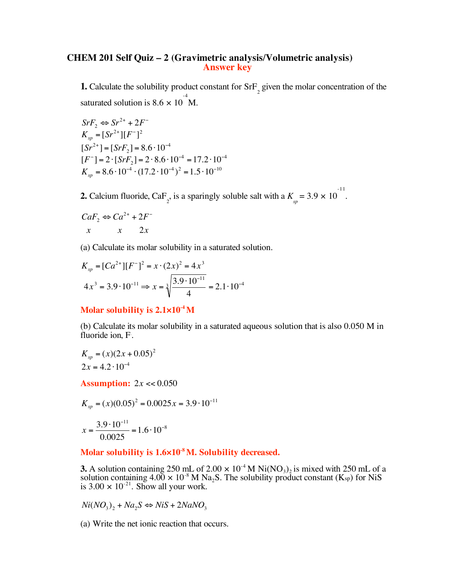## **CHEM 201 Self Quiz – 2 (Gravimetric analysis/Volumetric analysis) Answer key**

**1.** Calculate the solubility product constant for  $SF_{2}$  given the molar concentration of the saturated solution is  $8.6 \times 10^{-4}$  M.

 $SrF_2 \Leftrightarrow Sr^{2+} + 2F^{-}$  $K_{sp} = [Sr^{2+}][F^-]^2$  $[Sr^{2+}] = [SrF_2] = 8.6 \cdot 10^{-4}$  $[F^{-}] = 2 \cdot [S r F_{2}] = 2 \cdot 8.6 \cdot 10^{-4} = 17.2 \cdot 10^{-4}$  $K_{sp} = 8.6 \cdot 10^{-4} \cdot (17.2 \cdot 10^{-4})^2 = 1.5 \cdot 10^{-10}$ 

**2.** Calcium fluoride, CaF<sub>2</sub>, is a sparingly soluble salt with a  $K_{sp} = 3.9 \times 10^{-11}$ .

$$
CaF_2 \Leftrightarrow Ca^{2+} + 2F^-
$$
  

$$
x \qquad x \qquad 2x
$$

(a) Calculate its molar solubility in a saturated solution.

$$
K_{sp} = [Ca^{2+}][F^-]^2 = x \cdot (2x)^2 = 4x^3
$$
  

$$
4x^3 = 3.9 \cdot 10^{-11} \Rightarrow x = \sqrt[3]{\frac{3.9 \cdot 10^{-11}}{4}} = 2.1 \cdot 10^{-4}
$$

## **Molar solubility is 2.1×10-4 M**

(b) Calculate its molar solubility in a saturated aqueous solution that is also 0.050 M in fluoride ion, F.

$$
K_{sp} = (x)(2x + 0.05)^2
$$
  
2x = 4.2 \cdot 10^{-4}

**Assumption:** 2*x* << 0.050

$$
K_{sp} = (x)(0.05)^{2} = 0.0025x = 3.9 \cdot 10^{-11}
$$

$$
x = \frac{3.9 \cdot 10^{-11}}{0.0025} = 1.6 \cdot 10^{-8}
$$

## **Molar solubility is 1.6×10-8 M. Solubility decreased.**

**3.** A solution containing 250 mL of 2.00  $\times$  10<sup>-4</sup> M Ni(NO<sub>3</sub>)<sub>2</sub> is mixed with 250 mL of a solution containing 4.00  $\times$  10<sup>-8</sup> M Na<sub>2</sub>S. The solubility product constant (K<sub>sp</sub>) for NiS is  $3.00 \times 10^{-21}$ . Show all your work.

 $Ni(NO_3)$ <sub>2</sub> +  $Na_2S \Leftrightarrow NiS + 2NaNO_3$ 

(a) Write the net ionic reaction that occurs.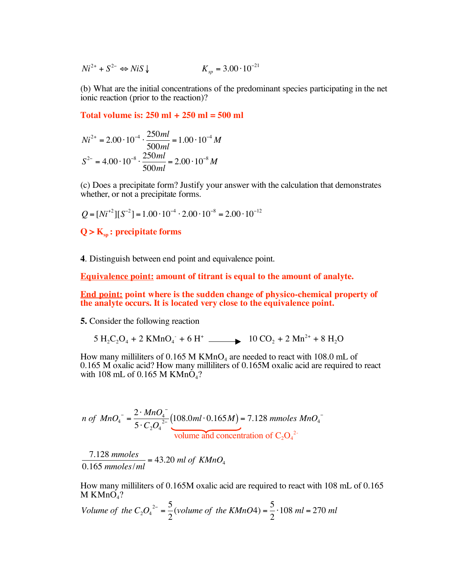$Ni^{2+}$  +  $S^{2-}$   $\Leftrightarrow$  *NiS*  $\downarrow$  $K_{sp} = 3.00 \cdot 10^{-21}$ 

(b) What are the initial concentrations of the predominant species participating in the net ionic reaction (prior to the reaction)?

**Total volume is: 250 ml + 250 ml = 500 ml**

$$
Ni^{2+} = 2.00 \cdot 10^{-4} \cdot \frac{250ml}{500ml} = 1.00 \cdot 10^{-4} M
$$
  

$$
S^{2-} = 4.00 \cdot 10^{-8} \cdot \frac{250ml}{500ml} = 2.00 \cdot 10^{-8} M
$$

(c) Does a precipitate form? Justify your answer with the calculation that demonstrates whether, or not a precipitate forms.

 $Q = [Ni^{+2}][S^{-2}] = 1.00 \cdot 10^{-4} \cdot 2.00 \cdot 10^{-8} = 2.00 \cdot 10^{-12}$ 

 $Q > K_{\rm{sp}}$ : **precipitate forms** 

**4**. Distinguish between end point and equivalence point.

**Equivalence point: amount of titrant is equal to the amount of analyte.**

**End point: point where is the sudden change of physico-chemical property of the analyte occurs. It is located very close to the equivalence point.**

**5.** Consider the following reaction

 $5 H_2C_2O_4 + 2 KMnO_4 + 6 H^4$   $\longrightarrow$   $10 CO_2 + 2 Mn^{2+} + 8 H_2O$ 

How many milliliters of 0.165 M  $KMnO<sub>4</sub>$  are needed to react with 108.0 mL of 0.165 M oxalic acid? How many milliliters of 0.165M oxalic acid are required to react with 108 mL of 0.165 M  $KMnO<sub>4</sub>$ ?

*n* of 
$$
MnO_4^-
$$
 =  $\frac{2 \cdot MnO_4^-}{5 \cdot C_2O_4^{2-}}$  (108.0*ml* · 0.165*M*) = 7.128 *mmoles MnO\_4^-*  
volume and concentration of C<sub>2</sub>O<sub>4</sub><sup>2-</sup>

7.128 *mmoles*  $\frac{0.165 \text{ mmoles}}{0.165 \text{ mmoles}/\text{ml}}$  = 43.20 ml of  $K M nO_4$ 

How many milliliters of 0.165M oxalic acid are required to react with 108 mL of 0.165  $M K MnO<sub>4</sub>$ ?

Volume of the 
$$
C_2O_4^{2-} = \frac{5}{2}
$$
 (volume of the KMnO4) =  $\frac{5}{2} \cdot 108$  ml = 270 ml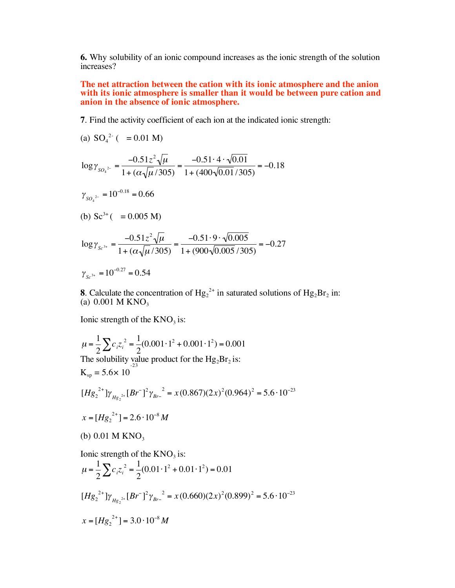**6.** Why solubility of an ionic compound increases as the ionic strength of the solution increases?

**The net attraction between the cation with its ionic atmosphere and the anion with its ionic atmosphere is smaller than it would be between pure cation and anion in the absence of ionic atmosphere.**

**7**. Find the activity coefficient of each ion at the indicated ionic strength:

(a) 
$$
SO_4^{2^-}
$$
 ( = 0.01 M)  
\n
$$
\log \gamma_{SO_4^{2^-}} = \frac{-0.51z^2\sqrt{\mu}}{1 + (\alpha\sqrt{\mu}/305)} = \frac{-0.51 \cdot 4 \cdot \sqrt{0.01}}{1 + (400\sqrt{0.01}/305)} = -0.18
$$
\n
$$
\gamma_{SO_4^{2^-}} = 10^{-0.18} = 0.66
$$
\n(b)  $Sc^{3+}$  ( = 0.005 M)  
\n
$$
\log \gamma_{Sc^{3+}} = \frac{-0.51z^2\sqrt{\mu}}{1 + (\alpha\sqrt{\mu}/305)} = \frac{-0.51 \cdot 9 \cdot \sqrt{0.005}}{1 + (900\sqrt{0.005}/305)} = -0.27
$$

 $\gamma_{sc^{3+}} = 10^{-0.27} = 0.54$ 

**8**. Calculate the concentration of  $Hg_2^{2+}$  in saturated solutions of  $Hg_2Br_2$  in: (a)  $0.001$  M KNO<sub>3</sub>

Ionic strength of the  $KNO<sub>3</sub>$  is:

$$
\mu = \frac{1}{2} \sum_{i} c_{i} z_{i}^{2} = \frac{1}{2} (0.001 \cdot 1^{2} + 0.001 \cdot 1^{2}) = 0.001
$$
  
The solubility value product for the Hg<sub>2</sub>Br<sub>2</sub> is:  
\n
$$
K_{sp} = 5.6 \times 10
$$
  
\n
$$
[Hg_{2}^{2+}]\gamma_{Hg_{2}^{2+}}[Br^{-}]^{2}\gamma_{Br^{-}} = x (0.867)(2x)^{2} (0.964)^{2} = 5.6 \cdot 10^{-23}
$$
  
\n
$$
x = [Hg_{2}^{2+}] = 2.6 \cdot 10^{-8} M
$$
  
\n(b) 0.01 M KNO<sub>3</sub>  
\nIonic strength of the KNO<sub>3</sub> is:  
\n
$$
\mu = \frac{1}{2} \sum_{i} c_{i} z_{i}^{2} = \frac{1}{2} (0.01 \cdot 1^{2} + 0.01 \cdot 1^{2}) = 0.01
$$
  
\n
$$
[Hg_{2}^{2+}]\gamma_{Hg_{2}^{2+}}[Br^{-}]^{2}\gamma_{Br^{-}}^{2} = x (0.660)(2x)^{2} (0.899)^{2} = 5.6 \cdot 10^{-23}
$$
  
\n
$$
x = [Hg_{2}^{2+}] = 3.0 \cdot 10^{-8} M
$$